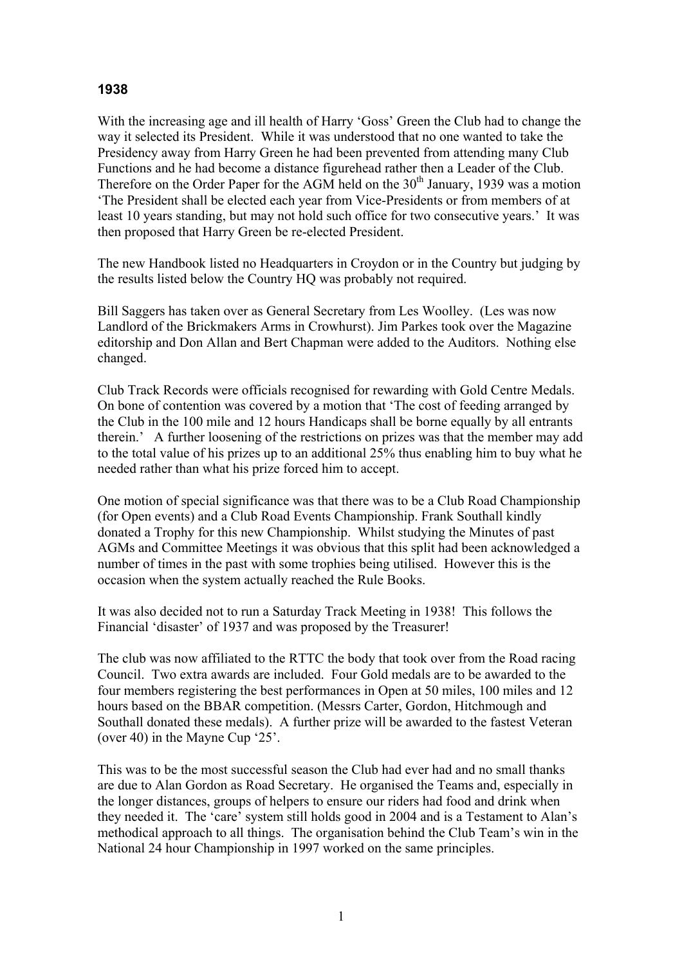## **1938**

With the increasing age and ill health of Harry 'Goss' Green the Club had to change the way it selected its President. While it was understood that no one wanted to take the Presidency away from Harry Green he had been prevented from attending many Club Functions and he had become a distance figurehead rather then a Leader of the Club. Therefore on the Order Paper for the AGM held on the  $30<sup>th</sup>$  January, 1939 was a motion 'The President shall be elected each year from Vice-Presidents or from members of at least 10 years standing, but may not hold such office for two consecutive years.' It was then proposed that Harry Green be re-elected President.

The new Handbook listed no Headquarters in Croydon or in the Country but judging by the results listed below the Country HQ was probably not required.

Bill Saggers has taken over as General Secretary from Les Woolley. (Les was now Landlord of the Brickmakers Arms in Crowhurst). Jim Parkes took over the Magazine editorship and Don Allan and Bert Chapman were added to the Auditors. Nothing else changed.

Club Track Records were officials recognised for rewarding with Gold Centre Medals. On bone of contention was covered by a motion that 'The cost of feeding arranged by the Club in the 100 mile and 12 hours Handicaps shall be borne equally by all entrants therein.' A further loosening of the restrictions on prizes was that the member may add to the total value of his prizes up to an additional 25% thus enabling him to buy what he needed rather than what his prize forced him to accept.

One motion of special significance was that there was to be a Club Road Championship (for Open events) and a Club Road Events Championship. Frank Southall kindly donated a Trophy for this new Championship. Whilst studying the Minutes of past AGMs and Committee Meetings it was obvious that this split had been acknowledged a number of times in the past with some trophies being utilised. However this is the occasion when the system actually reached the Rule Books.

It was also decided not to run a Saturday Track Meeting in 1938! This follows the Financial 'disaster' of 1937 and was proposed by the Treasurer!

The club was now affiliated to the RTTC the body that took over from the Road racing Council. Two extra awards are included. Four Gold medals are to be awarded to the four members registering the best performances in Open at 50 miles, 100 miles and 12 hours based on the BBAR competition. (Messrs Carter, Gordon, Hitchmough and Southall donated these medals). A further prize will be awarded to the fastest Veteran (over 40) in the Mayne Cup '25'.

This was to be the most successful season the Club had ever had and no small thanks are due to Alan Gordon as Road Secretary. He organised the Teams and, especially in the longer distances, groups of helpers to ensure our riders had food and drink when they needed it. The 'care' system still holds good in 2004 and is a Testament to Alan's methodical approach to all things. The organisation behind the Club Team's win in the National 24 hour Championship in 1997 worked on the same principles.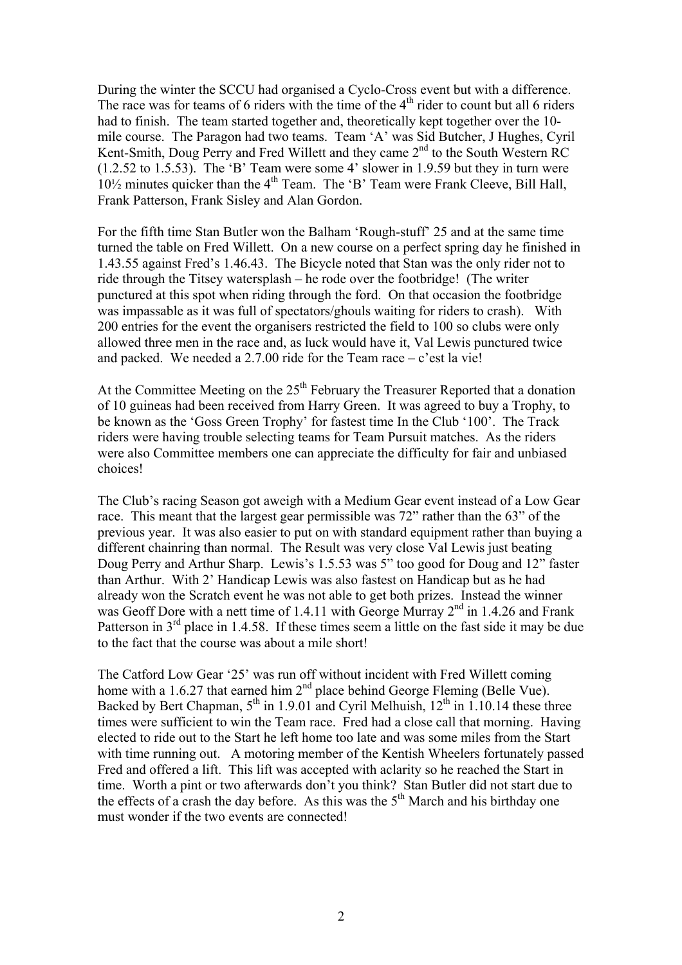During the winter the SCCU had organised a Cyclo-Cross event but with a difference. The race was for teams of 6 riders with the time of the  $4<sup>th</sup>$  rider to count but all 6 riders had to finish. The team started together and, theoretically kept together over the 10 mile course. The Paragon had two teams. Team 'A' was Sid Butcher, J Hughes, Cyril Kent-Smith, Doug Perry and Fred Willett and they came  $2<sup>nd</sup>$  to the South Western RC (1.2.52 to 1.5.53). The 'B' Team were some 4' slower in 1.9.59 but they in turn were  $10\frac{1}{2}$  minutes quicker than the  $4<sup>th</sup>$  Team. The 'B' Team were Frank Cleeve, Bill Hall, Frank Patterson, Frank Sisley and Alan Gordon.

For the fifth time Stan Butler won the Balham 'Rough-stuff' 25 and at the same time turned the table on Fred Willett. On a new course on a perfect spring day he finished in 1.43.55 against Fred's 1.46.43. The Bicycle noted that Stan was the only rider not to ride through the Titsey watersplash – he rode over the footbridge! (The writer punctured at this spot when riding through the ford. On that occasion the footbridge was impassable as it was full of spectators/ghouls waiting for riders to crash). With 200 entries for the event the organisers restricted the field to 100 so clubs were only allowed three men in the race and, as luck would have it, Val Lewis punctured twice and packed. We needed a 2.7.00 ride for the Team race  $-c$  'est la vie!

At the Committee Meeting on the  $25<sup>th</sup>$  February the Treasurer Reported that a donation of 10 guineas had been received from Harry Green. It was agreed to buy a Trophy, to be known as the 'Goss Green Trophy' for fastest time In the Club '100'. The Track riders were having trouble selecting teams for Team Pursuit matches. As the riders were also Committee members one can appreciate the difficulty for fair and unbiased choices!

The Club's racing Season got aweigh with a Medium Gear event instead of a Low Gear race. This meant that the largest gear permissible was 72" rather than the 63" of the previous year. It was also easier to put on with standard equipment rather than buying a different chainring than normal. The Result was very close Val Lewis just beating Doug Perry and Arthur Sharp. Lewis's 1.5.53 was 5" too good for Doug and 12" faster than Arthur. With 2' Handicap Lewis was also fastest on Handicap but as he had already won the Scratch event he was not able to get both prizes. Instead the winner was Geoff Dore with a nett time of 1.4.11 with George Murray  $2<sup>nd</sup>$  in 1.4.26 and Frank Patterson in  $3<sup>rd</sup>$  place in 1.4.58. If these times seem a little on the fast side it may be due to the fact that the course was about a mile short!

The Catford Low Gear '25' was run off without incident with Fred Willett coming home with a 1.6.27 that earned him 2<sup>nd</sup> place behind George Fleming (Belle Vue). Backed by Bert Chapman,  $5<sup>th</sup>$  in 1.9.01 and Cyril Melhuish,  $12<sup>th</sup>$  in 1.10.14 these three times were sufficient to win the Team race. Fred had a close call that morning. Having elected to ride out to the Start he left home too late and was some miles from the Start with time running out. A motoring member of the Kentish Wheelers fortunately passed Fred and offered a lift. This lift was accepted with aclarity so he reached the Start in time. Worth a pint or two afterwards don't you think? Stan Butler did not start due to the effects of a crash the day before. As this was the  $5<sup>th</sup>$  March and his birthday one must wonder if the two events are connected!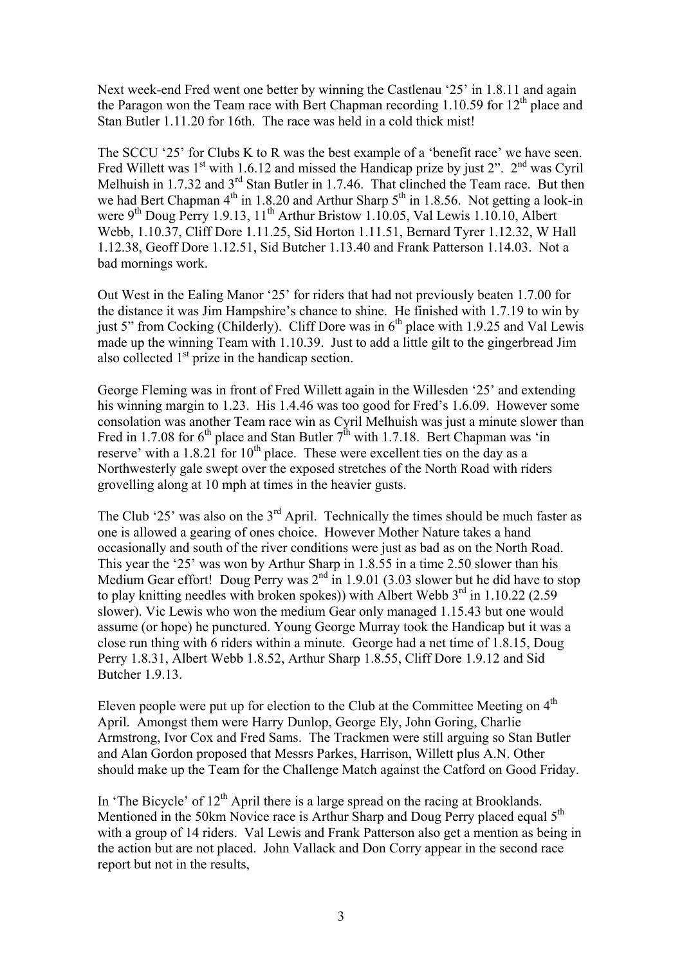Next week-end Fred went one better by winning the Castlenau '25' in 1.8.11 and again the Paragon won the Team race with Bert Chapman recording 1.10.59 for  $12<sup>th</sup>$  place and Stan Butler 1.11.20 for 16th. The race was held in a cold thick mist!

The SCCU '25' for Clubs K to R was the best example of a 'benefit race' we have seen. Fred Willett was  $1^{st}$  with 1.6.12 and missed the Handicap prize by just 2".  $2^{nd}$  was Cyril Melhuish in 1.7.32 and 3<sup>rd</sup> Stan Butler in 1.7.46. That clinched the Team race. But then we had Bert Chapman  $4<sup>th</sup>$  in 1.8.20 and Arthur Sharp  $5<sup>th</sup>$  in 1.8.56. Not getting a look-in were 9<sup>th</sup> Doug Perry 1.9.13, 11<sup>th</sup> Arthur Bristow 1.10.05, Val Lewis 1.10.10, Albert Webb, 1.10.37, Cliff Dore 1.11.25, Sid Horton 1.11.51, Bernard Tyrer 1.12.32, W Hall 1.12.38, Geoff Dore 1.12.51, Sid Butcher 1.13.40 and Frank Patterson 1.14.03. Not a bad mornings work.

Out West in the Ealing Manor '25' for riders that had not previously beaten 1.7.00 for the distance it was Jim Hampshire's chance to shine. He finished with 1.7.19 to win by just 5" from Cocking (Childerly). Cliff Dore was in  $6<sup>th</sup>$  place with 1.9.25 and Val Lewis made up the winning Team with 1.10.39. Just to add a little gilt to the gingerbread Jim also collected  $1<sup>st</sup>$  prize in the handicap section.

George Fleming was in front of Fred Willett again in the Willesden '25' and extending his winning margin to 1.23. His 1.4.46 was too good for Fred's 1.6.09. However some consolation was another Team race win as Cyril Melhuish was just a minute slower than Fred in 1.7.08 for  $6<sup>th</sup>$  place and Stan Butler  $7<sup>th</sup>$  with 1.7.18. Bert Chapman was 'in reserve' with a 1.8.21 for  $10<sup>th</sup>$  place. These were excellent ties on the day as a Northwesterly gale swept over the exposed stretches of the North Road with riders grovelling along at 10 mph at times in the heavier gusts.

The Club '25' was also on the  $3<sup>rd</sup>$  April. Technically the times should be much faster as one is allowed a gearing of ones choice. However Mother Nature takes a hand occasionally and south of the river conditions were just as bad as on the North Road. This year the '25' was won by Arthur Sharp in 1.8.55 in a time 2.50 slower than his Medium Gear effort! Doug Perry was  $2<sup>nd</sup>$  in 1.9.01 (3.03 slower but he did have to stop to play knitting needles with broken spokes)) with Albert Webb  $3<sup>rd</sup>$  in 1.10.22 (2.59 slower). Vic Lewis who won the medium Gear only managed 1.15.43 but one would assume (or hope) he punctured. Young George Murray took the Handicap but it was a close run thing with 6 riders within a minute. George had a net time of 1.8.15, Doug Perry 1.8.31, Albert Webb 1.8.52, Arthur Sharp 1.8.55, Cliff Dore 1.9.12 and Sid Butcher 1.9.13.

Eleven people were put up for election to the Club at the Committee Meeting on  $4<sup>th</sup>$ April. Amongst them were Harry Dunlop, George Ely, John Goring, Charlie Armstrong, Ivor Cox and Fred Sams. The Trackmen were still arguing so Stan Butler and Alan Gordon proposed that Messrs Parkes, Harrison, Willett plus A.N. Other should make up the Team for the Challenge Match against the Catford on Good Friday.

In 'The Bicycle' of  $12<sup>th</sup>$  April there is a large spread on the racing at Brooklands. Mentioned in the 50km Novice race is Arthur Sharp and Doug Perry placed equal  $5<sup>th</sup>$ with a group of 14 riders. Val Lewis and Frank Patterson also get a mention as being in the action but are not placed. John Vallack and Don Corry appear in the second race report but not in the results,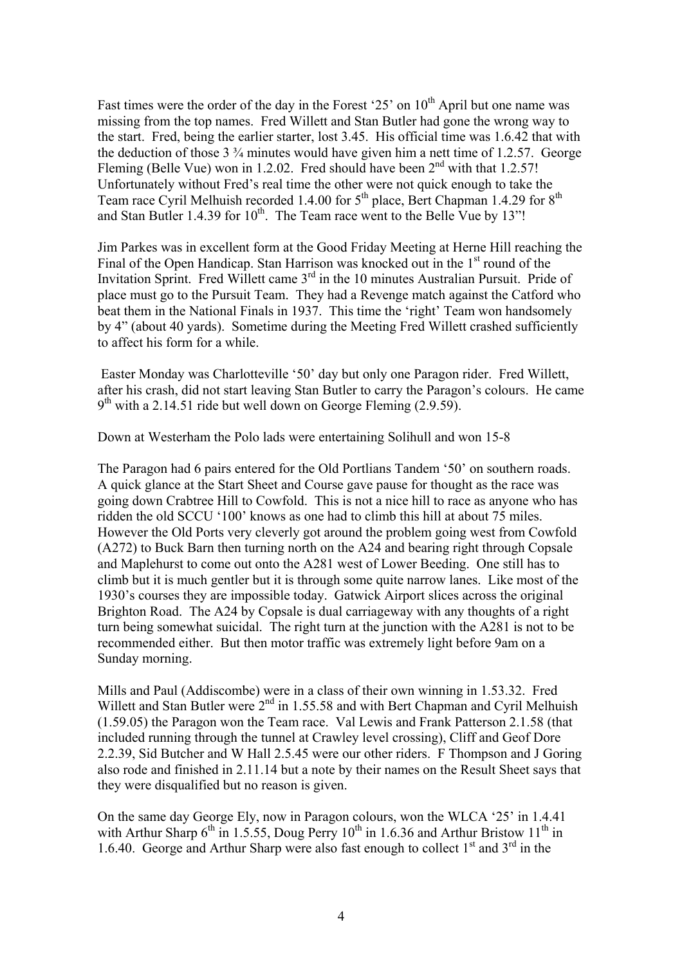Fast times were the order of the day in the Forest '25' on 10<sup>th</sup> April but one name was missing from the top names. Fred Willett and Stan Butler had gone the wrong way to the start. Fred, being the earlier starter, lost 3.45. His official time was 1.6.42 that with the deduction of those  $3\frac{3}{4}$  minutes would have given him a nett time of 1.2.57. George Fleming (Belle Vue) won in 1.2.02. Fred should have been  $2<sup>nd</sup>$  with that 1.2.57! Unfortunately without Fred's real time the other were not quick enough to take the Team race Cyril Melhuish recorded 1.4.00 for 5<sup>th</sup> place, Bert Chapman 1.4.29 for 8<sup>th</sup> and Stan Butler 1.4.39 for  $10^{th}$ . The Team race went to the Belle Vue by 13"!

Jim Parkes was in excellent form at the Good Friday Meeting at Herne Hill reaching the Final of the Open Handicap. Stan Harrison was knocked out in the 1<sup>st</sup> round of the Invitation Sprint. Fred Willett came  $3<sup>rd</sup>$  in the 10 minutes Australian Pursuit. Pride of place must go to the Pursuit Team. They had a Revenge match against the Catford who beat them in the National Finals in 1937. This time the 'right' Team won handsomely by 4" (about 40 yards). Sometime during the Meeting Fred Willett crashed sufficiently to affect his form for a while.

 Easter Monday was Charlotteville '50' day but only one Paragon rider. Fred Willett, after his crash, did not start leaving Stan Butler to carry the Paragon's colours. He came  $9<sup>th</sup>$  with a 2.14.51 ride but well down on George Fleming (2.9.59).

Down at Westerham the Polo lads were entertaining Solihull and won 15-8

The Paragon had 6 pairs entered for the Old Portlians Tandem '50' on southern roads. A quick glance at the Start Sheet and Course gave pause for thought as the race was going down Crabtree Hill to Cowfold. This is not a nice hill to race as anyone who has ridden the old SCCU '100' knows as one had to climb this hill at about 75 miles. However the Old Ports very cleverly got around the problem going west from Cowfold (A272) to Buck Barn then turning north on the A24 and bearing right through Copsale and Maplehurst to come out onto the A281 west of Lower Beeding. One still has to climb but it is much gentler but it is through some quite narrow lanes. Like most of the 1930's courses they are impossible today. Gatwick Airport slices across the original Brighton Road. The A24 by Copsale is dual carriageway with any thoughts of a right turn being somewhat suicidal. The right turn at the junction with the A281 is not to be recommended either. But then motor traffic was extremely light before 9am on a Sunday morning.

Mills and Paul (Addiscombe) were in a class of their own winning in 1.53.32. Fred Willett and Stan Butler were  $2^{nd}$  in 1.55.58 and with Bert Chapman and Cyril Melhuish (1.59.05) the Paragon won the Team race. Val Lewis and Frank Patterson 2.1.58 (that included running through the tunnel at Crawley level crossing), Cliff and Geof Dore 2.2.39, Sid Butcher and W Hall 2.5.45 were our other riders. F Thompson and J Goring also rode and finished in 2.11.14 but a note by their names on the Result Sheet says that they were disqualified but no reason is given.

On the same day George Ely, now in Paragon colours, won the WLCA '25' in 1.4.41 with Arthur Sharp  $6^{th}$  in 1.5.55, Doug Perry 10<sup>th</sup> in 1.6.36 and Arthur Bristow 11<sup>th</sup> in 1.6.40. George and Arthur Sharp were also fast enough to collect  $1<sup>st</sup>$  and  $3<sup>rd</sup>$  in the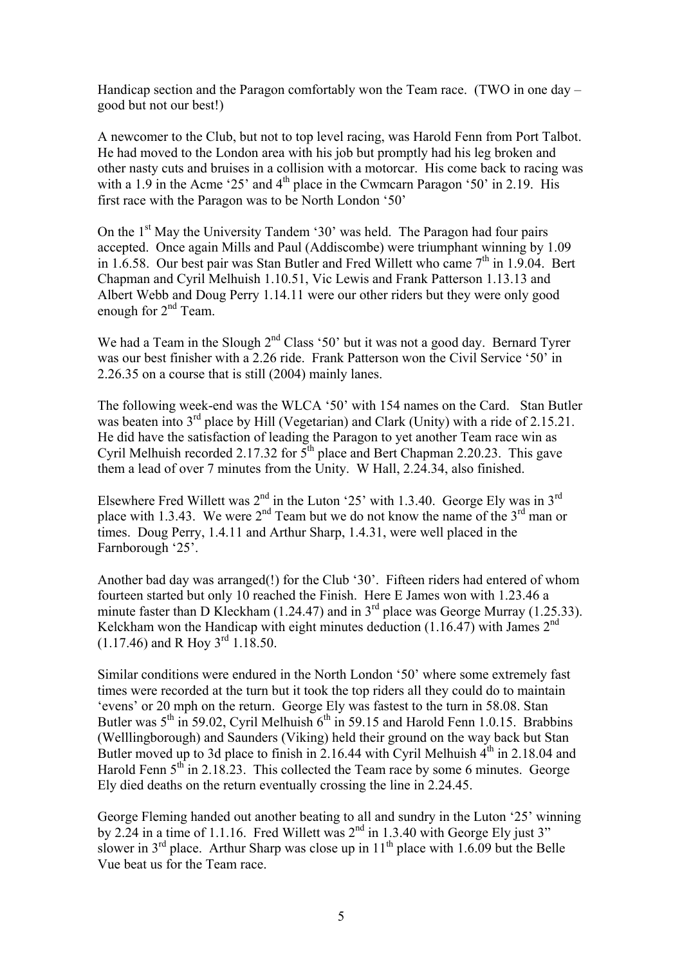Handicap section and the Paragon comfortably won the Team race. (TWO in one day – good but not our best!)

A newcomer to the Club, but not to top level racing, was Harold Fenn from Port Talbot. He had moved to the London area with his job but promptly had his leg broken and other nasty cuts and bruises in a collision with a motorcar. His come back to racing was with a 1.9 in the Acme '25' and  $4<sup>th</sup>$  place in the Cwmcarn Paragon '50' in 2.19. His first race with the Paragon was to be North London '50'

On the  $1<sup>st</sup>$  May the University Tandem '30' was held. The Paragon had four pairs accepted. Once again Mills and Paul (Addiscombe) were triumphant winning by 1.09 in 1.6.58. Our best pair was Stan Butler and Fred Willett who came  $7<sup>th</sup>$  in 1.9.04. Bert Chapman and Cyril Melhuish 1.10.51, Vic Lewis and Frank Patterson 1.13.13 and Albert Webb and Doug Perry 1.14.11 were our other riders but they were only good enough for 2<sup>nd</sup> Team.

We had a Team in the Slough 2<sup>nd</sup> Class '50' but it was not a good day. Bernard Tyrer was our best finisher with a 2.26 ride. Frank Patterson won the Civil Service '50' in 2.26.35 on a course that is still (2004) mainly lanes.

The following week-end was the WLCA '50' with 154 names on the Card. Stan Butler was beaten into 3<sup>rd</sup> place by Hill (Vegetarian) and Clark (Unity) with a ride of 2.15.21. He did have the satisfaction of leading the Paragon to yet another Team race win as Cyril Melhuish recorded 2.17.32 for  $5<sup>th</sup>$  place and Bert Chapman 2.20.23. This gave them a lead of over 7 minutes from the Unity. W Hall, 2.24.34, also finished.

Elsewhere Fred Willett was  $2<sup>nd</sup>$  in the Luton '25' with 1.3.40. George Ely was in  $3<sup>rd</sup>$ place with 1.3.43. We were  $2<sup>nd</sup>$  Team but we do not know the name of the  $3<sup>rd</sup>$  man or times. Doug Perry, 1.4.11 and Arthur Sharp, 1.4.31, were well placed in the Farnborough '25'.

Another bad day was arranged(!) for the Club '30'. Fifteen riders had entered of whom fourteen started but only 10 reached the Finish. Here E James won with 1.23.46 a minute faster than D Kleckham (1.24.47) and in  $3<sup>rd</sup>$  place was George Murray (1.25.33). Kelckham won the Handicap with eight minutes deduction (1.16.47) with James  $2^{nd}$  $(1.17.46)$  and R Hov  $3<sup>rd</sup>$  1.18.50.

Similar conditions were endured in the North London '50' where some extremely fast times were recorded at the turn but it took the top riders all they could do to maintain 'evens' or 20 mph on the return. George Ely was fastest to the turn in 58.08. Stan Butler was  $5<sup>th</sup>$  in 59.02, Cyril Melhuish  $6<sup>th</sup>$  in 59.15 and Harold Fenn 1.0.15. Brabbins (Welllingborough) and Saunders (Viking) held their ground on the way back but Stan Butler moved up to 3d place to finish in 2.16.44 with Cyril Melhuish  $4^{th}$  in 2.18.04 and Harold Fenn  $5<sup>th</sup>$  in 2.18.23. This collected the Team race by some 6 minutes. George Ely died deaths on the return eventually crossing the line in 2.24.45.

George Fleming handed out another beating to all and sundry in the Luton '25' winning by 2.24 in a time of 1.1.16. Fred Willett was  $2^{nd}$  in 1.3.40 with George Ely just 3" slower in  $3<sup>rd</sup>$  place. Arthur Sharp was close up in  $11<sup>th</sup>$  place with 1.6.09 but the Belle Vue beat us for the Team race.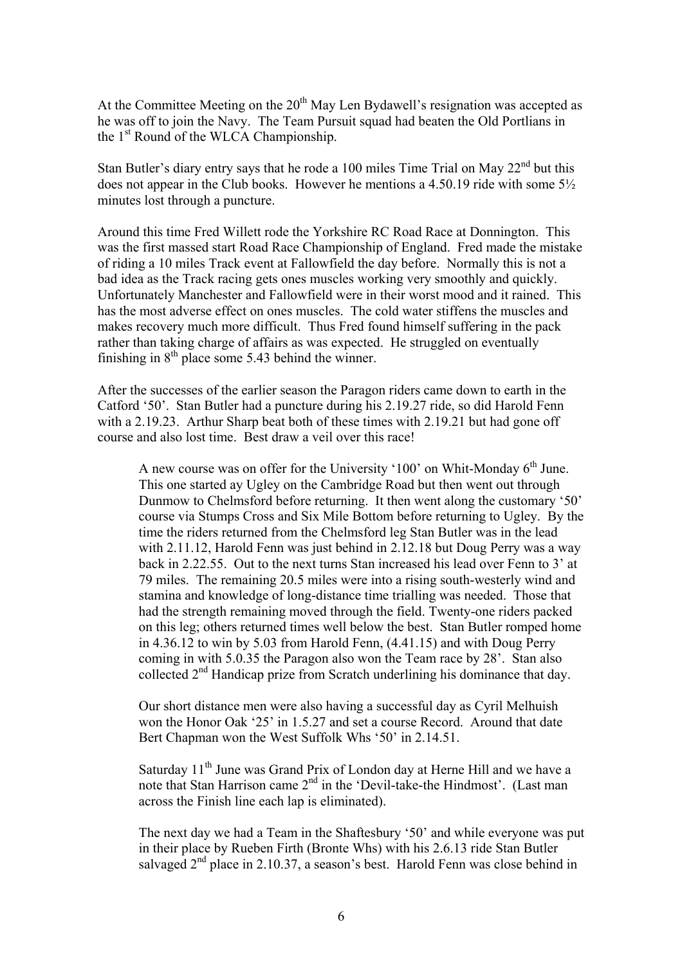At the Committee Meeting on the  $20<sup>th</sup>$  May Len Bydawell's resignation was accepted as he was off to join the Navy. The Team Pursuit squad had beaten the Old Portlians in the 1<sup>st</sup> Round of the WLCA Championship.

Stan Butler's diary entry says that he rode a 100 miles Time Trial on May  $22<sup>nd</sup>$  but this does not appear in the Club books. However he mentions a 4.50.19 ride with some 5½ minutes lost through a puncture.

Around this time Fred Willett rode the Yorkshire RC Road Race at Donnington. This was the first massed start Road Race Championship of England. Fred made the mistake of riding a 10 miles Track event at Fallowfield the day before. Normally this is not a bad idea as the Track racing gets ones muscles working very smoothly and quickly. Unfortunately Manchester and Fallowfield were in their worst mood and it rained. This has the most adverse effect on ones muscles. The cold water stiffens the muscles and makes recovery much more difficult. Thus Fred found himself suffering in the pack rather than taking charge of affairs as was expected. He struggled on eventually finishing in  $8<sup>th</sup>$  place some 5.43 behind the winner.

After the successes of the earlier season the Paragon riders came down to earth in the Catford '50'. Stan Butler had a puncture during his 2.19.27 ride, so did Harold Fenn with a 2.19.23. Arthur Sharp beat both of these times with 2.19.21 but had gone off course and also lost time. Best draw a veil over this race!

A new course was on offer for the University '100' on Whit-Monday  $6<sup>th</sup>$  June. This one started ay Ugley on the Cambridge Road but then went out through Dunmow to Chelmsford before returning. It then went along the customary '50' course via Stumps Cross and Six Mile Bottom before returning to Ugley. By the time the riders returned from the Chelmsford leg Stan Butler was in the lead with 2.11.12, Harold Fenn was just behind in 2.12.18 but Doug Perry was a way back in 2.22.55. Out to the next turns Stan increased his lead over Fenn to 3' at 79 miles. The remaining 20.5 miles were into a rising south-westerly wind and stamina and knowledge of long-distance time trialling was needed. Those that had the strength remaining moved through the field. Twenty-one riders packed on this leg; others returned times well below the best. Stan Butler romped home in 4.36.12 to win by 5.03 from Harold Fenn, (4.41.15) and with Doug Perry coming in with 5.0.35 the Paragon also won the Team race by 28'. Stan also collected 2nd Handicap prize from Scratch underlining his dominance that day.

Our short distance men were also having a successful day as Cyril Melhuish won the Honor Oak '25' in 1.5.27 and set a course Record. Around that date Bert Chapman won the West Suffolk Whs '50' in 2.14.51.

Saturday 11<sup>th</sup> June was Grand Prix of London day at Herne Hill and we have a note that Stan Harrison came 2<sup>nd</sup> in the 'Devil-take-the Hindmost'. (Last man across the Finish line each lap is eliminated).

The next day we had a Team in the Shaftesbury '50' and while everyone was put in their place by Rueben Firth (Bronte Whs) with his 2.6.13 ride Stan Butler salvaged  $2<sup>nd</sup>$  place in 2.10.37, a season's best. Harold Fenn was close behind in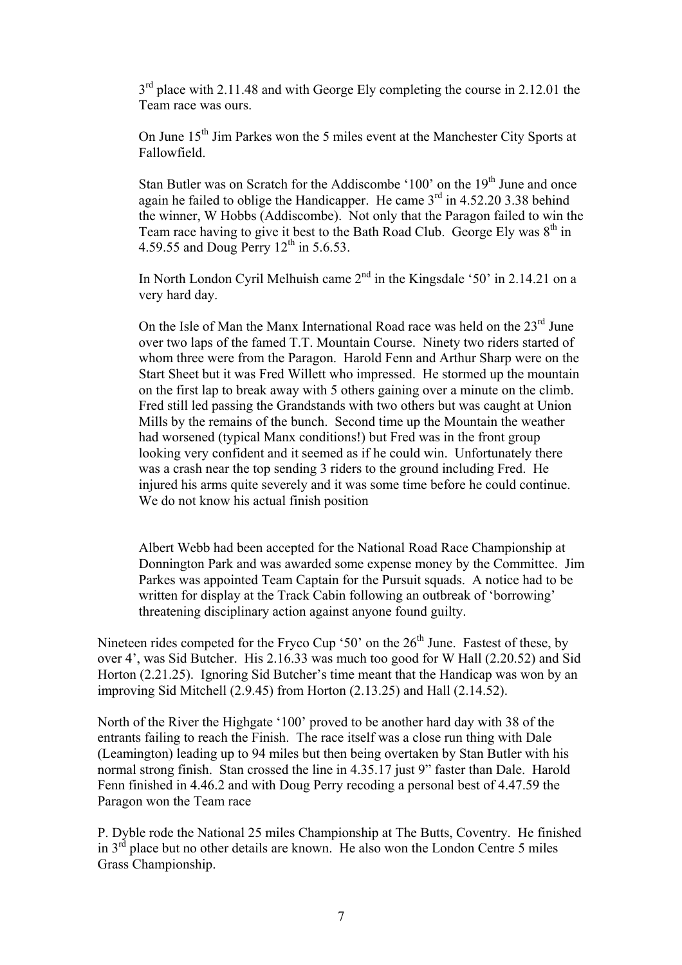$3<sup>rd</sup>$  place with 2.11.48 and with George Ely completing the course in 2.12.01 the Team race was ours.

On June 15<sup>th</sup> Jim Parkes won the 5 miles event at the Manchester City Sports at Fallowfield.

Stan Butler was on Scratch for the Addiscombe '100' on the 19<sup>th</sup> June and once again he failed to oblige the Handicapper. He came 3rd in 4.52.20 3.38 behind the winner, W Hobbs (Addiscombe). Not only that the Paragon failed to win the Team race having to give it best to the Bath Road Club. George Ely was  $8<sup>th</sup>$  in 4.59.55 and Doug Perry  $12<sup>th</sup>$  in 5.6.53.

In North London Cyril Melhuish came  $2<sup>nd</sup>$  in the Kingsdale '50' in 2.14.21 on a very hard day.

On the Isle of Man the Manx International Road race was held on the  $23<sup>rd</sup>$  June over two laps of the famed T.T. Mountain Course. Ninety two riders started of whom three were from the Paragon. Harold Fenn and Arthur Sharp were on the Start Sheet but it was Fred Willett who impressed. He stormed up the mountain on the first lap to break away with 5 others gaining over a minute on the climb. Fred still led passing the Grandstands with two others but was caught at Union Mills by the remains of the bunch. Second time up the Mountain the weather had worsened (typical Manx conditions!) but Fred was in the front group looking very confident and it seemed as if he could win. Unfortunately there was a crash near the top sending 3 riders to the ground including Fred. He injured his arms quite severely and it was some time before he could continue. We do not know his actual finish position

Albert Webb had been accepted for the National Road Race Championship at Donnington Park and was awarded some expense money by the Committee. Jim Parkes was appointed Team Captain for the Pursuit squads. A notice had to be written for display at the Track Cabin following an outbreak of 'borrowing' threatening disciplinary action against anyone found guilty.

Nineteen rides competed for the Fryco Cup '50' on the  $26<sup>th</sup>$  June. Fastest of these, by over 4', was Sid Butcher. His 2.16.33 was much too good for W Hall (2.20.52) and Sid Horton (2.21.25). Ignoring Sid Butcher's time meant that the Handicap was won by an improving Sid Mitchell (2.9.45) from Horton (2.13.25) and Hall (2.14.52).

North of the River the Highgate '100' proved to be another hard day with 38 of the entrants failing to reach the Finish. The race itself was a close run thing with Dale (Leamington) leading up to 94 miles but then being overtaken by Stan Butler with his normal strong finish. Stan crossed the line in 4.35.17 just 9" faster than Dale. Harold Fenn finished in 4.46.2 and with Doug Perry recoding a personal best of 4.47.59 the Paragon won the Team race

P. Dyble rode the National 25 miles Championship at The Butts, Coventry. He finished in  $3<sup>rd</sup>$  place but no other details are known. He also won the London Centre 5 miles Grass Championship.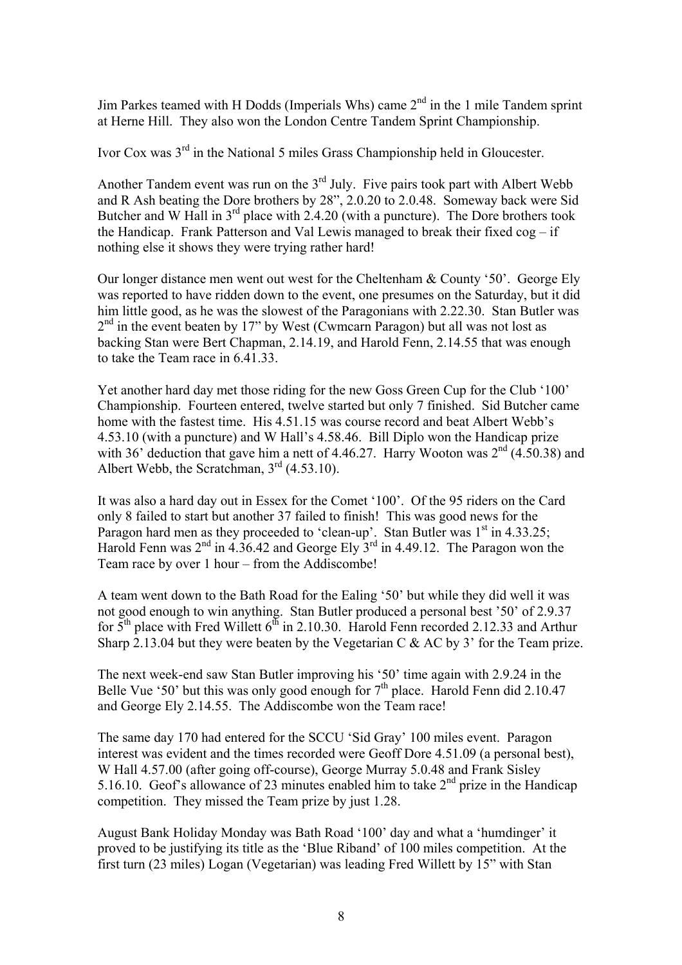Jim Parkes teamed with H Dodds (Imperials Whs) came  $2<sup>nd</sup>$  in the 1 mile Tandem sprint at Herne Hill. They also won the London Centre Tandem Sprint Championship.

Ivor Cox was 3rd in the National 5 miles Grass Championship held in Gloucester.

Another Tandem event was run on the  $3<sup>rd</sup>$  July. Five pairs took part with Albert Webb and R Ash beating the Dore brothers by 28", 2.0.20 to 2.0.48. Someway back were Sid Butcher and W Hall in  $3<sup>rd</sup>$  place with 2.4.20 (with a puncture). The Dore brothers took the Handicap. Frank Patterson and Val Lewis managed to break their fixed cog – if nothing else it shows they were trying rather hard!

Our longer distance men went out west for the Cheltenham & County '50'. George Ely was reported to have ridden down to the event, one presumes on the Saturday, but it did him little good, as he was the slowest of the Paragonians with 2.22.30. Stan Butler was  $2<sup>nd</sup>$  in the event beaten by 17" by West (Cwmcarn Paragon) but all was not lost as backing Stan were Bert Chapman, 2.14.19, and Harold Fenn, 2.14.55 that was enough to take the Team race in 6.41.33.

Yet another hard day met those riding for the new Goss Green Cup for the Club '100' Championship. Fourteen entered, twelve started but only 7 finished. Sid Butcher came home with the fastest time. His 4.51.15 was course record and beat Albert Webb's 4.53.10 (with a puncture) and W Hall's 4.58.46. Bill Diplo won the Handicap prize with 36' deduction that gave him a nett of 4.46.27. Harry Wooton was  $2<sup>nd</sup>$  (4.50.38) and Albert Webb, the Scratchman,  $3<sup>rd</sup>$  (4.53.10).

It was also a hard day out in Essex for the Comet '100'. Of the 95 riders on the Card only 8 failed to start but another 37 failed to finish! This was good news for the Paragon hard men as they proceeded to 'clean-up'. Stan Butler was  $1<sup>st</sup>$  in 4.33.25; Harold Fenn was  $2<sup>nd</sup>$  in 4.36.42 and George Ely  $3<sup>rd</sup>$  in 4.49.12. The Paragon won the Team race by over 1 hour – from the Addiscombe!

A team went down to the Bath Road for the Ealing '50' but while they did well it was not good enough to win anything. Stan Butler produced a personal best '50' of 2.9.37 for  $5<sup>th</sup>$  place with Fred Willett 6<sup>th</sup> in 2.10.30. Harold Fenn recorded 2.12.33 and Arthur Sharp 2.13.04 but they were beaten by the Vegetarian C  $&$  AC by 3' for the Team prize.

The next week-end saw Stan Butler improving his '50' time again with 2.9.24 in the Belle Vue '50' but this was only good enough for 7<sup>th</sup> place. Harold Fenn did 2.10.47 and George Ely 2.14.55. The Addiscombe won the Team race!

The same day 170 had entered for the SCCU 'Sid Gray' 100 miles event. Paragon interest was evident and the times recorded were Geoff Dore 4.51.09 (a personal best), W Hall 4.57.00 (after going off-course), George Murray 5.0.48 and Frank Sisley 5.16.10. Geof's allowance of 23 minutes enabled him to take  $2<sup>nd</sup>$  prize in the Handicap competition. They missed the Team prize by just 1.28.

August Bank Holiday Monday was Bath Road '100' day and what a 'humdinger' it proved to be justifying its title as the 'Blue Riband' of 100 miles competition. At the first turn (23 miles) Logan (Vegetarian) was leading Fred Willett by 15" with Stan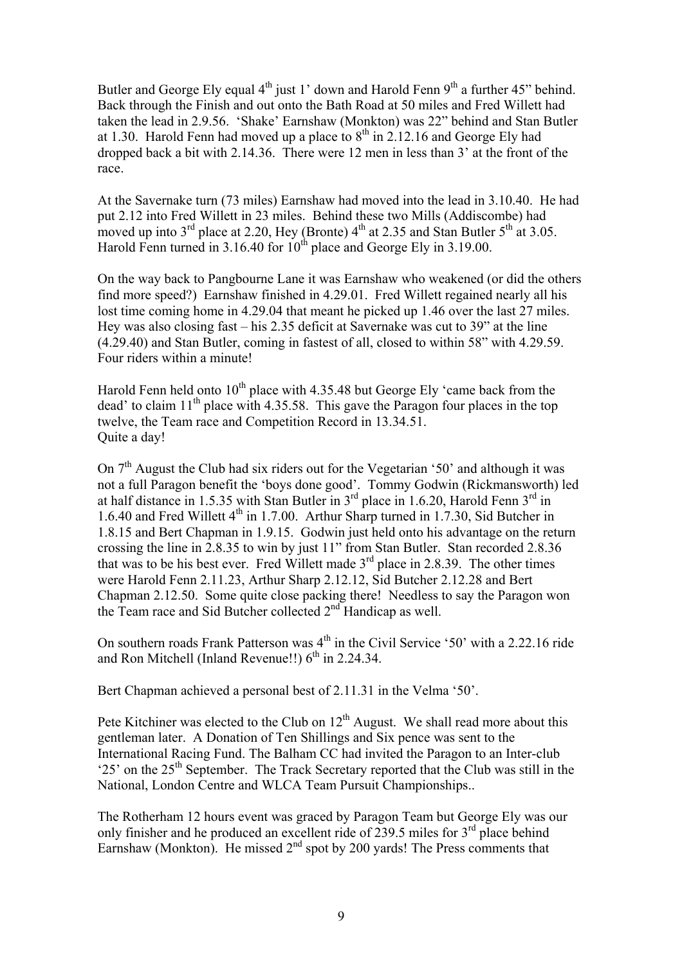Butler and George Ely equal  $4<sup>th</sup>$  just 1' down and Harold Fenn  $9<sup>th</sup>$  a further 45" behind. Back through the Finish and out onto the Bath Road at 50 miles and Fred Willett had taken the lead in 2.9.56. 'Shake' Earnshaw (Monkton) was 22" behind and Stan Butler at 1.30. Harold Fenn had moved up a place to  $8<sup>th</sup>$  in 2.12.16 and George Ely had dropped back a bit with 2.14.36. There were 12 men in less than 3' at the front of the race.

At the Savernake turn (73 miles) Earnshaw had moved into the lead in 3.10.40. He had put 2.12 into Fred Willett in 23 miles. Behind these two Mills (Addiscombe) had moved up into  $3<sup>rd</sup>$  place at 2.20, Hey (Bronte)  $4<sup>th</sup>$  at 2.35 and Stan Butler  $5<sup>th</sup>$  at 3.05. Harold Fenn turned in 3.16.40 for  $10^{th}$  place and George Ely in 3.19.00.

On the way back to Pangbourne Lane it was Earnshaw who weakened (or did the others find more speed?) Earnshaw finished in 4.29.01. Fred Willett regained nearly all his lost time coming home in 4.29.04 that meant he picked up 1.46 over the last 27 miles. Hey was also closing fast – his 2.35 deficit at Savernake was cut to 39" at the line (4.29.40) and Stan Butler, coming in fastest of all, closed to within 58" with 4.29.59. Four riders within a minute!

Harold Fenn held onto  $10^{th}$  place with 4.35.48 but George Ely 'came back from the dead' to claim  $11<sup>th</sup>$  place with 4.35.58. This gave the Paragon four places in the top twelve, the Team race and Competition Record in 13.34.51. Quite a day!

On  $7<sup>th</sup>$  August the Club had six riders out for the Vegetarian '50' and although it was not a full Paragon benefit the 'boys done good'. Tommy Godwin (Rickmansworth) led at half distance in 1.5.35 with Stan Butler in  $3<sup>rd</sup>$  place in 1.6.20, Harold Fenn  $3<sup>rd</sup>$  in 1.6.40 and Fred Willett 4<sup>th</sup> in 1.7.00. Arthur Sharp turned in 1.7.30, Sid Butcher in 1.8.15 and Bert Chapman in 1.9.15. Godwin just held onto his advantage on the return crossing the line in 2.8.35 to win by just 11" from Stan Butler. Stan recorded 2.8.36 that was to be his best ever. Fred Willett made  $3<sup>rd</sup>$  place in 2.8.39. The other times were Harold Fenn 2.11.23, Arthur Sharp 2.12.12, Sid Butcher 2.12.28 and Bert Chapman 2.12.50. Some quite close packing there! Needless to say the Paragon won the Team race and Sid Butcher collected  $2<sup>nd</sup>$  Handicap as well.

On southern roads Frank Patterson was  $4<sup>th</sup>$  in the Civil Service '50' with a 2.22.16 ride and Ron Mitchell (Inland Revenue!!)  $6<sup>th</sup>$  in 2.24.34.

Bert Chapman achieved a personal best of 2.11.31 in the Velma '50'.

Pete Kitchiner was elected to the Club on  $12<sup>th</sup>$  August. We shall read more about this gentleman later. A Donation of Ten Shillings and Six pence was sent to the International Racing Fund. The Balham CC had invited the Paragon to an Inter-club '25' on the 25th September. The Track Secretary reported that the Club was still in the National, London Centre and WLCA Team Pursuit Championships..

The Rotherham 12 hours event was graced by Paragon Team but George Ely was our only finisher and he produced an excellent ride of  $239.5$  miles for  $3<sup>rd</sup>$  place behind Earnshaw (Monkton). He missed  $2<sup>nd</sup>$  spot by 200 yards! The Press comments that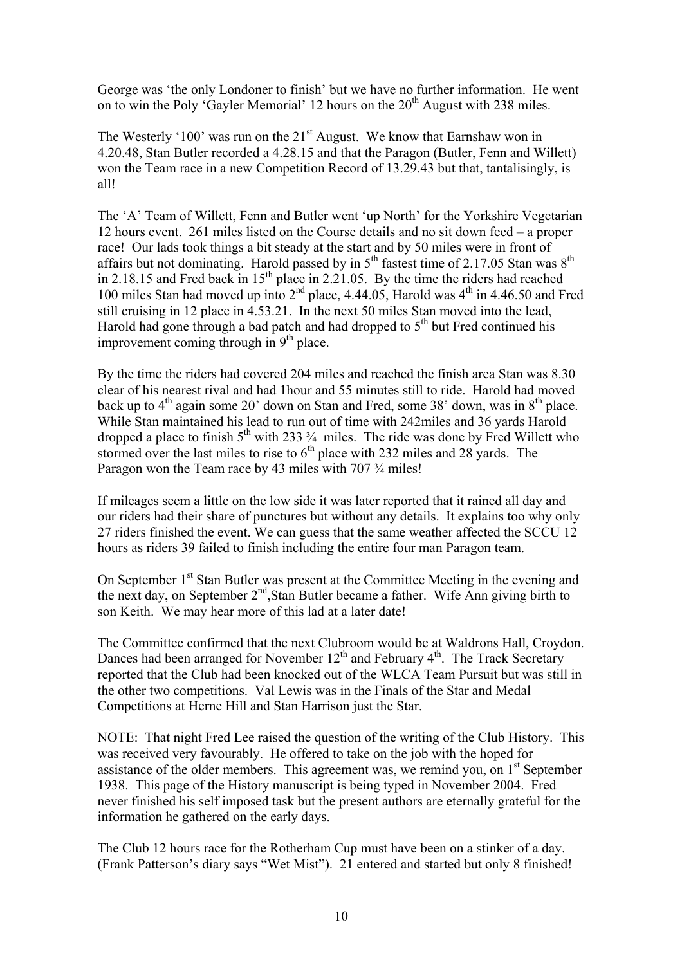George was 'the only Londoner to finish' but we have no further information. He went on to win the Poly 'Gayler Memorial' 12 hours on the  $20<sup>th</sup>$  August with 238 miles.

The Westerly '100' was run on the  $21<sup>st</sup>$  August. We know that Earnshaw won in 4.20.48, Stan Butler recorded a 4.28.15 and that the Paragon (Butler, Fenn and Willett) won the Team race in a new Competition Record of 13.29.43 but that, tantalisingly, is all!

The 'A' Team of Willett, Fenn and Butler went 'up North' for the Yorkshire Vegetarian 12 hours event. 261 miles listed on the Course details and no sit down feed – a proper race! Our lads took things a bit steady at the start and by 50 miles were in front of affairs but not dominating. Harold passed by in  $5<sup>th</sup>$  fastest time of 2.17.05 Stan was  $8<sup>th</sup>$ in 2.18.15 and Fred back in  $15<sup>th</sup>$  place in 2.21.05. By the time the riders had reached 100 miles Stan had moved up into  $2<sup>nd</sup>$  place, 4.44.05, Harold was  $4<sup>th</sup>$  in 4.46.50 and Fred still cruising in 12 place in 4.53.21. In the next 50 miles Stan moved into the lead, Harold had gone through a bad patch and had dropped to  $5<sup>th</sup>$  but Fred continued his improvement coming through in  $9<sup>th</sup>$  place.

By the time the riders had covered 204 miles and reached the finish area Stan was 8.30 clear of his nearest rival and had 1hour and 55 minutes still to ride. Harold had moved back up to  $4<sup>th</sup>$  again some 20' down on Stan and Fred, some 38' down, was in  $8<sup>th</sup>$  place. While Stan maintained his lead to run out of time with 242miles and 36 yards Harold dropped a place to finish  $5<sup>th</sup>$  with 233  $\frac{3}{4}$  miles. The ride was done by Fred Willett who stormed over the last miles to rise to  $6<sup>th</sup>$  place with 232 miles and 28 yards. The stormed over the last miles to rise to  $6<sup>th</sup>$  place with 232 miles and 28 yards. The Paragon won the Team race by 43 miles with 707  $\frac{3}{4}$  miles!

If mileages seem a little on the low side it was later reported that it rained all day and our riders had their share of punctures but without any details. It explains too why only 27 riders finished the event. We can guess that the same weather affected the SCCU 12 hours as riders 39 failed to finish including the entire four man Paragon team.

On September 1<sup>st</sup> Stan Butler was present at the Committee Meeting in the evening and the next day, on September 2nd,Stan Butler became a father. Wife Ann giving birth to son Keith. We may hear more of this lad at a later date!

The Committee confirmed that the next Clubroom would be at Waldrons Hall, Croydon. Dances had been arranged for November  $12<sup>th</sup>$  and February  $4<sup>th</sup>$ . The Track Secretary reported that the Club had been knocked out of the WLCA Team Pursuit but was still in the other two competitions. Val Lewis was in the Finals of the Star and Medal Competitions at Herne Hill and Stan Harrison just the Star.

NOTE: That night Fred Lee raised the question of the writing of the Club History. This was received very favourably. He offered to take on the job with the hoped for assistance of the older members. This agreement was, we remind you, on  $1<sup>st</sup>$  September 1938. This page of the History manuscript is being typed in November 2004. Fred never finished his self imposed task but the present authors are eternally grateful for the information he gathered on the early days.

The Club 12 hours race for the Rotherham Cup must have been on a stinker of a day. (Frank Patterson's diary says "Wet Mist"). 21 entered and started but only 8 finished!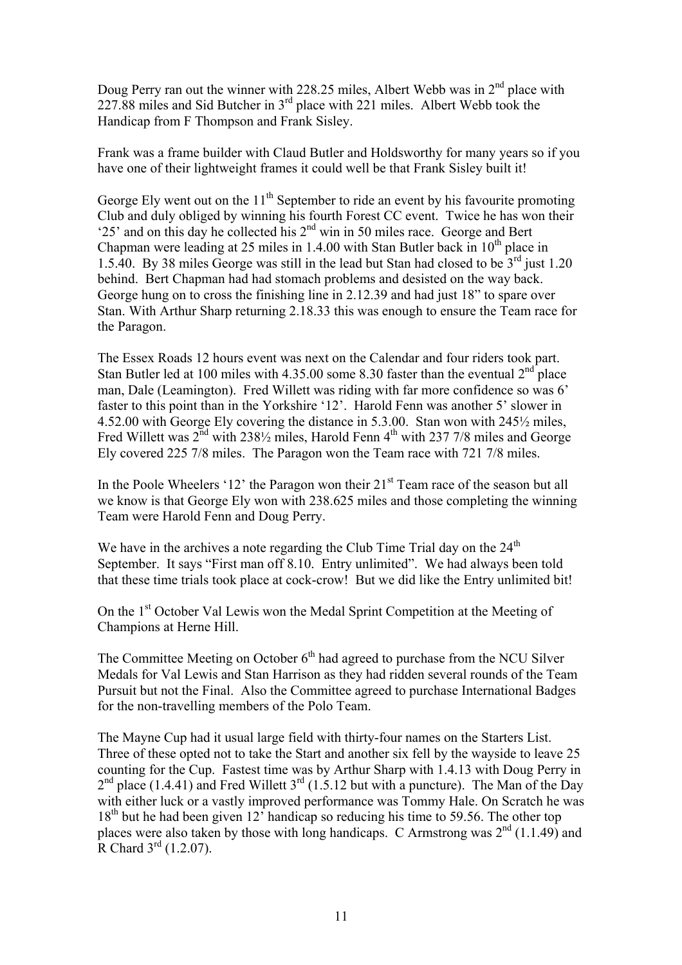Doug Perry ran out the winner with 228.25 miles, Albert Webb was in  $2<sup>nd</sup>$  place with 227.88 miles and Sid Butcher in 3rd place with 221 miles. Albert Webb took the Handicap from F Thompson and Frank Sisley.

Frank was a frame builder with Claud Butler and Holdsworthy for many years so if you have one of their lightweight frames it could well be that Frank Sisley built it!

George Ely went out on the  $11<sup>th</sup>$  September to ride an event by his favourite promoting Club and duly obliged by winning his fourth Forest CC event. Twice he has won their '25' and on this day he collected his  $2<sup>nd</sup>$  win in 50 miles race. George and Bert Chapman were leading at 25 miles in 1.4.00 with Stan Butler back in  $10<sup>th</sup>$  place in 1.5.40. By 38 miles George was still in the lead but Stan had closed to be  $3<sup>rd</sup>$  just 1.20 behind. Bert Chapman had had stomach problems and desisted on the way back. George hung on to cross the finishing line in 2.12.39 and had just 18" to spare over Stan. With Arthur Sharp returning 2.18.33 this was enough to ensure the Team race for the Paragon.

The Essex Roads 12 hours event was next on the Calendar and four riders took part. Stan Butler led at 100 miles with  $4.35.00$  some  $8.30$  faster than the eventual  $2<sup>nd</sup>$  place man, Dale (Leamington). Fred Willett was riding with far more confidence so was 6' faster to this point than in the Yorkshire '12'. Harold Fenn was another 5' slower in 4.52.00 with George Ely covering the distance in 5.3.00. Stan won with 245½ miles, Fred Willett was  $2^{nd}$  with 238 $\frac{1}{2}$  miles, Harold Fenn 4<sup>th</sup> with 237 7/8 miles and George Ely covered 225 7/8 miles. The Paragon won the Team race with 721 7/8 miles.

In the Poole Wheelers '12' the Paragon won their  $21<sup>st</sup>$  Team race of the season but all we know is that George Ely won with 238.625 miles and those completing the winning Team were Harold Fenn and Doug Perry.

We have in the archives a note regarding the Club Time Trial day on the  $24<sup>th</sup>$ September. It says "First man off 8.10. Entry unlimited". We had always been told that these time trials took place at cock-crow! But we did like the Entry unlimited bit!

On the 1st October Val Lewis won the Medal Sprint Competition at the Meeting of Champions at Herne Hill.

The Committee Meeting on October  $6<sup>th</sup>$  had agreed to purchase from the NCU Silver Medals for Val Lewis and Stan Harrison as they had ridden several rounds of the Team Pursuit but not the Final. Also the Committee agreed to purchase International Badges for the non-travelling members of the Polo Team.

The Mayne Cup had it usual large field with thirty-four names on the Starters List. Three of these opted not to take the Start and another six fell by the wayside to leave 25 counting for the Cup. Fastest time was by Arthur Sharp with 1.4.13 with Doug Perry in  $2<sup>nd</sup>$  place (1.4.41) and Fred Willett  $3<sup>rd</sup>$  (1.5.12 but with a puncture). The Man of the Day with either luck or a vastly improved performance was Tommy Hale. On Scratch he was 18<sup>th</sup> but he had been given 12<sup>'</sup> handicap so reducing his time to 59.56. The other top places were also taken by those with long handicaps. C Armstrong was  $2<sup>nd</sup>$  (1.1.49) and R Chard  $3^{rd}$  (1.2.07).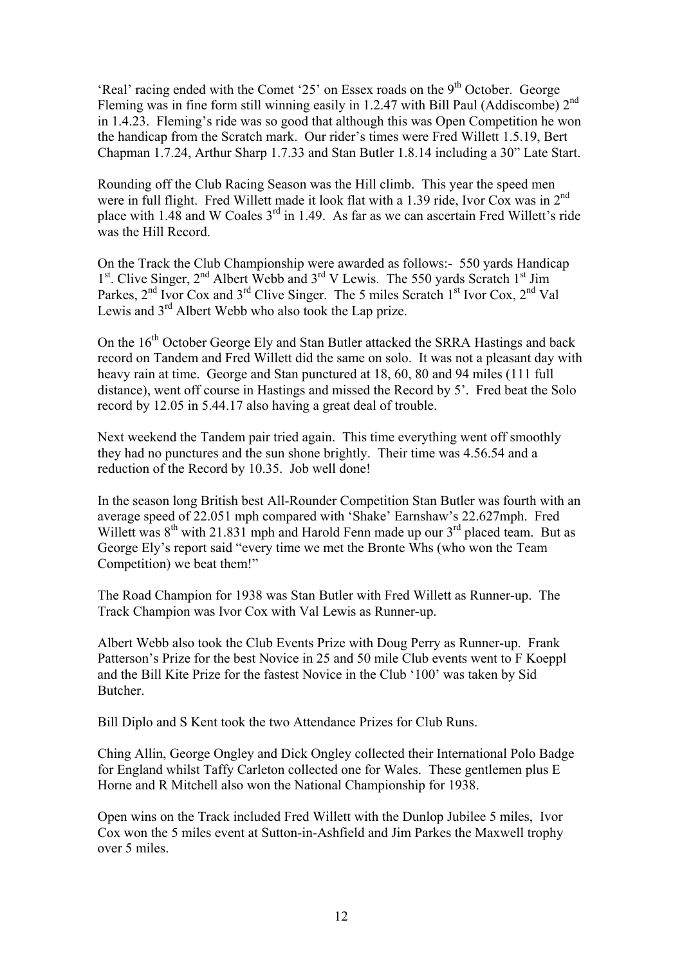'Real' racing ended with the Comet '25' on Essex roads on the  $9<sup>th</sup>$  October. George Fleming was in fine form still winning easily in 1.2.47 with Bill Paul (Addiscombe) 2<sup>nd</sup> in 1.4.23. Fleming's ride was so good that although this was Open Competition he won the handicap from the Scratch mark. Our rider's times were Fred Willett 1.5.19, Bert Chapman 1.7.24, Arthur Sharp 1.7.33 and Stan Butler 1.8.14 including a 30" Late Start.

Rounding off the Club Racing Season was the Hill climb. This year the speed men were in full flight. Fred Willett made it look flat with a 1.39 ride, Ivor Cox was in 2<sup>nd</sup> place with 1.48 and W Coales  $3<sup>rd</sup>$  in 1.49. As far as we can ascertain Fred Willett's ride was the Hill Record.

On the Track the Club Championship were awarded as follows:- 550 yards Handicap  $1<sup>st</sup>$ . Clive Singer,  $2<sup>nd</sup>$  Albert Webb and  $3<sup>rd</sup>$  V Lewis. The 550 yards Scratch  $1<sup>st</sup>$  Jim Parkes, 2<sup>nd</sup> Ivor Cox and 3<sup>rd</sup> Clive Singer. The 5 miles Scratch 1<sup>st</sup> Ivor Cox, 2<sup>nd</sup> Val Lewis and  $3<sup>rd</sup>$  Albert Webb who also took the Lap prize.

On the 16<sup>th</sup> October George Ely and Stan Butler attacked the SRRA Hastings and back record on Tandem and Fred Willett did the same on solo. It was not a pleasant day with heavy rain at time. George and Stan punctured at 18, 60, 80 and 94 miles (111 full distance), went off course in Hastings and missed the Record by 5'. Fred beat the Solo record by 12.05 in 5.44.17 also having a great deal of trouble.

Next weekend the Tandem pair tried again. This time everything went off smoothly they had no punctures and the sun shone brightly. Their time was 4.56.54 and a reduction of the Record by 10.35. Job well done!

In the season long British best All-Rounder Competition Stan Butler was fourth with an average speed of 22.051 mph compared with 'Shake' Earnshaw's 22.627mph. Fred Willett was  $8^{th}$  with 21.831 mph and Harold Fenn made up our  $3^{rd}$  placed team. But as George Ely's report said "every time we met the Bronte Whs (who won the Team Competition) we beat them!"

The Road Champion for 1938 was Stan Butler with Fred Willett as Runner-up. The Track Champion was Ivor Cox with Val Lewis as Runner-up.

Albert Webb also took the Club Events Prize with Doug Perry as Runner-up. Frank Patterson's Prize for the best Novice in 25 and 50 mile Club events went to F Koeppl and the Bill Kite Prize for the fastest Novice in the Club '100' was taken by Sid Butcher.

Bill Diplo and S Kent took the two Attendance Prizes for Club Runs.

Ching Allin, George Ongley and Dick Ongley collected their International Polo Badge for England whilst Taffy Carleton collected one for Wales. These gentlemen plus E Horne and R Mitchell also won the National Championship for 1938.

Open wins on the Track included Fred Willett with the Dunlop Jubilee 5 miles, Ivor Cox won the 5 miles event at Sutton-in-Ashfield and Jim Parkes the Maxwell trophy over 5 miles.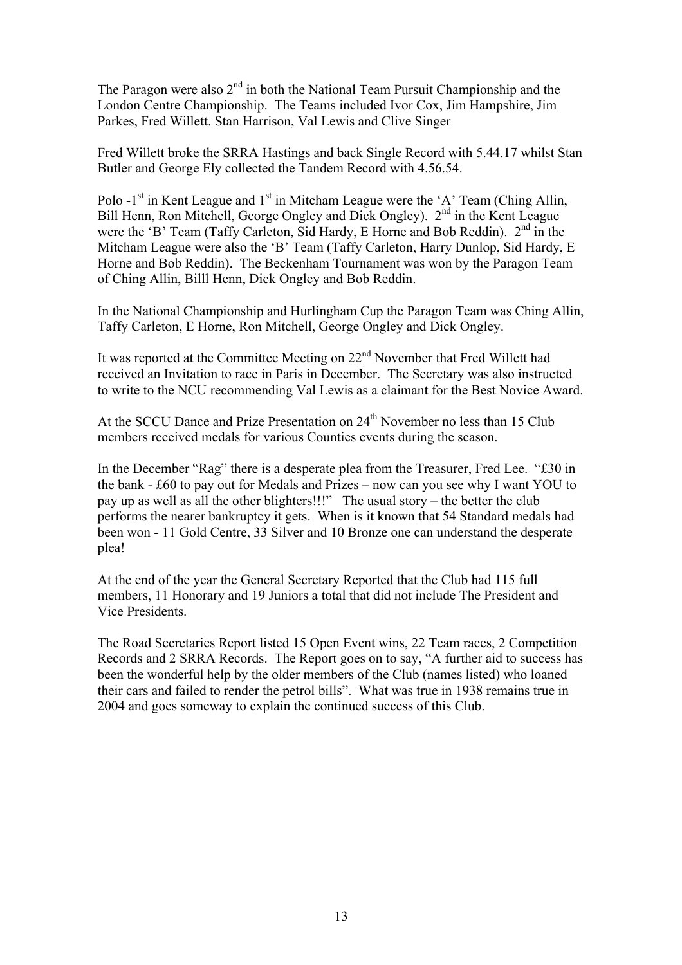The Paragon were also  $2<sup>nd</sup>$  in both the National Team Pursuit Championship and the London Centre Championship. The Teams included Ivor Cox, Jim Hampshire, Jim Parkes, Fred Willett. Stan Harrison, Val Lewis and Clive Singer

Fred Willett broke the SRRA Hastings and back Single Record with 5.44.17 whilst Stan Butler and George Ely collected the Tandem Record with 4.56.54.

Polo  $-1<sup>st</sup>$  in Kent League and  $1<sup>st</sup>$  in Mitcham League were the 'A' Team (Ching Allin, Bill Henn, Ron Mitchell, George Ongley and Dick Ongley).  $2<sup>nd</sup>$  in the Kent League were the 'B' Team (Taffy Carleton, Sid Hardy, E Horne and Bob Reddin).  $2<sup>nd</sup>$  in the Mitcham League were also the 'B' Team (Taffy Carleton, Harry Dunlop, Sid Hardy, E Horne and Bob Reddin). The Beckenham Tournament was won by the Paragon Team of Ching Allin, Billl Henn, Dick Ongley and Bob Reddin.

In the National Championship and Hurlingham Cup the Paragon Team was Ching Allin, Taffy Carleton, E Horne, Ron Mitchell, George Ongley and Dick Ongley.

It was reported at the Committee Meeting on 22nd November that Fred Willett had received an Invitation to race in Paris in December. The Secretary was also instructed to write to the NCU recommending Val Lewis as a claimant for the Best Novice Award.

At the SCCU Dance and Prize Presentation on  $24<sup>th</sup>$  November no less than 15 Club members received medals for various Counties events during the season.

In the December "Rag" there is a desperate plea from the Treasurer, Fred Lee. "£30 in the bank - £60 to pay out for Medals and Prizes – now can you see why I want YOU to pay up as well as all the other blighters!!!" The usual story – the better the club performs the nearer bankruptcy it gets. When is it known that 54 Standard medals had been won - 11 Gold Centre, 33 Silver and 10 Bronze one can understand the desperate plea!

At the end of the year the General Secretary Reported that the Club had 115 full members, 11 Honorary and 19 Juniors a total that did not include The President and Vice Presidents.

The Road Secretaries Report listed 15 Open Event wins, 22 Team races, 2 Competition Records and 2 SRRA Records. The Report goes on to say, "A further aid to success has been the wonderful help by the older members of the Club (names listed) who loaned their cars and failed to render the petrol bills". What was true in 1938 remains true in 2004 and goes someway to explain the continued success of this Club.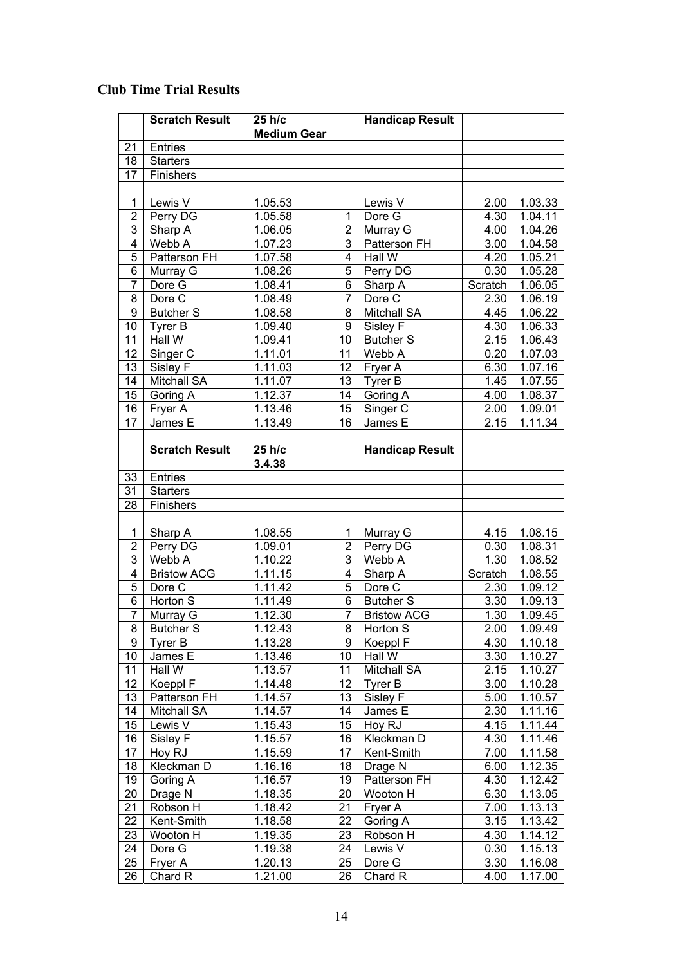## **Club Time Trial Results**

|                | <b>Scratch Result</b> | 25 h/c             |                | <b>Handicap Result</b> |         |         |
|----------------|-----------------------|--------------------|----------------|------------------------|---------|---------|
|                |                       | <b>Medium Gear</b> |                |                        |         |         |
| 21             | <b>Entries</b>        |                    |                |                        |         |         |
| 18             | <b>Starters</b>       |                    |                |                        |         |         |
| 17             | Finishers             |                    |                |                        |         |         |
|                |                       |                    |                |                        |         |         |
| 1              | Lewis V               | 1.05.53            |                | Lewis V                | 2.00    | 1.03.33 |
| $\overline{2}$ | Perry DG              | 1.05.58            | 1              | Dore G                 | 4.30    | 1.04.11 |
| $\overline{3}$ | Sharp A               | 1.06.05            | $\overline{2}$ | Murray G               | 4.00    | 1.04.26 |
| $\overline{4}$ | Webb A                | 1.07.23            | 3              | Patterson FH           | 3.00    | 1.04.58 |
| 5              | Patterson FH          | 1.07.58            | 4              | Hall W                 | 4.20    | 1.05.21 |
| 6              | Murray G              | 1.08.26            | 5              | Perry DG               | 0.30    | 1.05.28 |
| $\overline{7}$ | Dore G                | 1.08.41            | 6              | Sharp A                | Scratch | 1.06.05 |
| 8              | Dore C                | 1.08.49            | $\overline{7}$ | Dore C                 | 2.30    | 1.06.19 |
| $\overline{9}$ | <b>Butcher S</b>      | 1.08.58            | 8              | <b>Mitchall SA</b>     | 4.45    | 1.06.22 |
| 10             | Tyrer B               | 1.09.40            | 9              | Sisley F               | 4.30    | 1.06.33 |
| 11             | Hall W                | 1.09.41            | 10             | <b>Butcher S</b>       | 2.15    | 1.06.43 |
| 12             | Singer C              | 1.11.01            | 11             | Webb A                 | 0.20    | 1.07.03 |
| 13             | Sisley F              | 1.11.03            | 12             | Fryer A                | 6.30    | 1.07.16 |
| 14             | <b>Mitchall SA</b>    | 1.11.07            | 13             | Tyrer B                | 1.45    | 1.07.55 |
| 15             | Goring A              | 1.12.37            | 14             | Goring A               | 4.00    | 1.08.37 |
| 16             | Fryer A               | 1.13.46            | 15             | Singer C               | 2.00    | 1.09.01 |
| 17             | James E               | 1.13.49            | 16             | James E                | 2.15    | 1.11.34 |
|                |                       |                    |                |                        |         |         |
|                | <b>Scratch Result</b> | 25 h/c             |                | <b>Handicap Result</b> |         |         |
|                |                       | 3.4.38             |                |                        |         |         |
| 33             | Entries               |                    |                |                        |         |         |
| 31             | <b>Starters</b>       |                    |                |                        |         |         |
| 28             | Finishers             |                    |                |                        |         |         |
|                |                       |                    |                |                        |         |         |
| 1              | Sharp A               | 1.08.55            | 1              | Murray G               | 4.15    | 1.08.15 |
| $\overline{c}$ | Perry DG              | 1.09.01            | $\overline{2}$ | Perry DG               | 0.30    | 1.08.31 |
| 3              | Webb A                | 1.10.22            | 3              | Webb A                 | 1.30    | 1.08.52 |
| 4              | <b>Bristow ACG</b>    | 1.11.15            | 4              | Sharp A                | Scratch | 1.08.55 |
| 5              | Dore C                | 1.11.42            | 5              | Dore C                 | 2.30    | 1.09.12 |
| 6              | Horton S              | 1.11.49            | 6              | Butcher <sub>S</sub>   | 3.30    | 1.09.13 |
| 7              | Murray G              | 1.12.30            | 7              | <b>Bristow ACG</b>     | 1.30    | 1.09.45 |
|                | <b>Butcher S</b>      | 1.12.43            | 8              | Horton S               | 2.00    | 1.09.49 |
| 8<br>9         | Tyrer B               | 1.13.28            | 9              | Koeppl F               | 4.30    | 1.10.18 |
| 10             | James E               | 1.13.46            | 10             | Hall W                 | 3.30    | 1.10.27 |
| 11             | Hall W                | 1.13.57            | 11             | Mitchall SA            | 2.15    | 1.10.27 |
| 12             | Koeppl F              | 1.14.48            | 12             | Tyrer B                | 3.00    | 1.10.28 |
| 13             | Patterson FH          | 1.14.57            | 13             | Sisley F               | 5.00    | 1.10.57 |
| 14             | <b>Mitchall SA</b>    | 1.14.57            | 14             | James E                | 2.30    | 1.11.16 |
| 15             | Lewis V               | 1.15.43            | 15             | Hoy RJ                 | 4.15    | 1.11.44 |
| 16             | Sisley F              | 1.15.57            | 16             | Kleckman D             | 4.30    | 1.11.46 |
| 17             | Hoy RJ                |                    | 17             | Kent-Smith             |         | 1.11.58 |
|                |                       | 1.15.59            |                |                        | 7.00    |         |
| 18             | Kleckman D            | 1.16.16            | 18             | Drage N                | 6.00    | 1.12.35 |
| 19             | Goring A              | 1.16.57            | 19             | Patterson FH           | 4.30    | 1.12.42 |
| 20             | Drage N               | 1.18.35            | 20             | Wooton H               | 6.30    | 1.13.05 |
| 21             | Robson H              | 1.18.42            | 21             | Fryer A                | 7.00    | 1.13.13 |
| 22             | Kent-Smith            | 1.18.58            | 22             | Goring A               | 3.15    | 1.13.42 |
| 23             | Wooton H              | 1.19.35            | 23             | Robson H               | 4.30    | 1.14.12 |
| 24             | Dore G                | 1.19.38            | 24             | Lewis V                | 0.30    | 1.15.13 |
| 25             | Fryer A               | 1.20.13            | 25             | Dore G                 | 3.30    | 1.16.08 |
| 26             | Chard R               | 1.21.00            | 26             | Chard R                | 4.00    | 1.17.00 |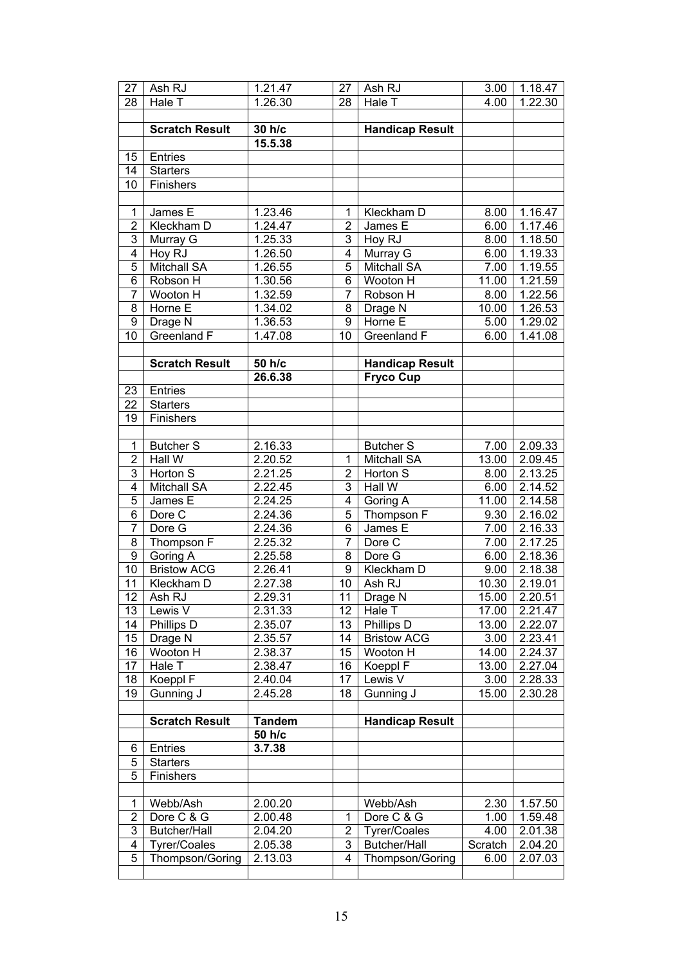| 27             | Ash RJ                | 1.21.47              | 27              | Ash RJ                 | 3.00    | 1.18.47              |
|----------------|-----------------------|----------------------|-----------------|------------------------|---------|----------------------|
| 28             | Hale T                | 1.26.30              | 28              | Hale T                 | 4.00    | $\overline{1.22.30}$ |
|                |                       |                      |                 |                        |         |                      |
|                | <b>Scratch Result</b> | 30 h/c               |                 | <b>Handicap Result</b> |         |                      |
|                |                       | 15.5.38              |                 |                        |         |                      |
| 15             | Entries               |                      |                 |                        |         |                      |
| 14             | <b>Starters</b>       |                      |                 |                        |         |                      |
| 10             | Finishers             |                      |                 |                        |         |                      |
|                |                       |                      |                 |                        |         |                      |
| 1              | James E               | 1.23.46              | 1               | Kleckham D             | 8.00    | 1.16.47              |
| $\overline{2}$ | Kleckham D            | 1.24.47              | $\overline{2}$  | James E                | 6.00    | 1.17.46              |
| 3              | Murray G              | 1.25.33              | 3               | Hoy RJ                 | 8.00    | 1.18.50              |
| $\overline{4}$ | Hoy RJ                | 1.26.50              | 4               | Murray G               | 6.00    | 1.19.33              |
| $\overline{5}$ | <b>Mitchall SA</b>    | 1.26.55              | 5               | Mitchall SA            | 7.00    | 1.19.55              |
| 6              | Robson H              | 1.30.56              | 6               | Wooton H               | 11.00   | 1.21.59              |
| 7              | Wooton H              | 1.32.59              | 7               | Robson H               |         | 1.22.56              |
| 8              |                       |                      | 8               |                        | 8.00    |                      |
|                | Horne E               | 1.34.02              |                 | Drage N                | 10.00   | 1.26.53              |
| 9              | Drage N               | 1.36.53              | 9               | Horne E                | 5.00    | 1.29.02              |
| 10             | Greenland F           | 1.47.08              | 10              | Greenland F            | 6.00    | 1.41.08              |
|                |                       |                      |                 |                        |         |                      |
|                | <b>Scratch Result</b> | 50 h/c               |                 | <b>Handicap Result</b> |         |                      |
|                |                       | 26.6.38              |                 | <b>Fryco Cup</b>       |         |                      |
| 23             | Entries               |                      |                 |                        |         |                      |
| 22             | <b>Starters</b>       |                      |                 |                        |         |                      |
| 19             | Finishers             |                      |                 |                        |         |                      |
|                |                       |                      |                 |                        |         |                      |
| $\mathbf{1}$   | <b>Butcher S</b>      | 2.16.33              |                 | <b>Butcher S</b>       | 7.00    | 2.09.33              |
| $\overline{2}$ | Hall W                | 2.20.52              | 1               | <b>Mitchall SA</b>     | 13.00   | 2.09.45              |
| 3              | Horton S              | 2.21.25              | $\overline{2}$  | Horton S               | 8.00    | 2.13.25              |
| $\overline{4}$ | Mitchall SA           | 2.22.45              | 3               | Hall W                 | 6.00    | 2.14.52              |
| 5              | James E               | 2.24.25              | 4               | Goring A               | 11.00   | 2.14.58              |
| 6              | Dore C                | 2.24.36              | 5               | Thompson F             | 9.30    | 2.16.02              |
| $\overline{7}$ | Dore G                | 2.24.36              | 6               | James E                | 7.00    | 2.16.33              |
| 8              | Thompson F            | 2.25.32              | $\overline{7}$  | Dore C                 | 7.00    | 2.17.25              |
| 9              | Goring A              | 2.25.58              | 8               | Dore G                 | 6.00    | 2.18.36              |
| 10             | <b>Bristow ACG</b>    | 2.26.41              | 9               | Kleckham D             | 9.00    | 2.18.38              |
| 11             | Kleckham D            | 2.27.38              | 10              | Ash RJ                 | 10.30   | 2.19.01              |
| 12             | Ash RJ                | $2.\overline{29.31}$ | $\overline{11}$ | Drage N                | 15.00   | 2.20.51              |
| 13             | Lewis V               | 2.31.33              | 12              | Hale T                 | 17.00   | 2.21.47              |
| 14             | Phillips D            | 2.35.07              | 13              | Phillips D             | 13.00   | 2.22.07              |
| 15             | Drage N               | 2.35.57              | 14              | <b>Bristow ACG</b>     | 3.00    | 2.23.41              |
| 16             | Wooton H              | 2.38.37              | 15              | Wooton H               | 14.00   | 2.24.37              |
| 17             | Hale T                | 2.38.47              | 16              | Koeppl F               | 13.00   | 2.27.04              |
| 18             | Koeppl F              | 2.40.04              | 17              | Lewis <sub>V</sub>     | 3.00    | 2.28.33              |
| 19             | Gunning J             | 2.45.28              | 18              | Gunning J              | 15.00   | 2.30.28              |
|                |                       |                      |                 |                        |         |                      |
|                | <b>Scratch Result</b> | <b>Tandem</b>        |                 | <b>Handicap Result</b> |         |                      |
|                |                       | 50 h/c               |                 |                        |         |                      |
|                | Entries               |                      |                 |                        |         |                      |
| 6              |                       | 3.7.38               |                 |                        |         |                      |
| 5              | <b>Starters</b>       |                      |                 |                        |         |                      |
| 5              | Finishers             |                      |                 |                        |         |                      |
|                |                       |                      |                 |                        |         |                      |
| $\mathbf{1}$   | Webb/Ash              | 2.00.20              |                 | Webb/Ash               | 2.30    | 1.57.50              |
| $\overline{2}$ | Dore C & G            | 2.00.48              | 1               | Dore C & G             | 1.00    | 1.59.48              |
| 3              | Butcher/Hall          | 2.04.20              | $\overline{2}$  | <b>Tyrer/Coales</b>    | 4.00    | 2.01.38              |
| 4              | <b>Tyrer/Coales</b>   | 2.05.38              | 3               | Butcher/Hall           | Scratch | 2.04.20              |
| 5              | Thompson/Goring       | 2.13.03              | 4               | Thompson/Goring        | 6.00    | 2.07.03              |
|                |                       |                      |                 |                        |         |                      |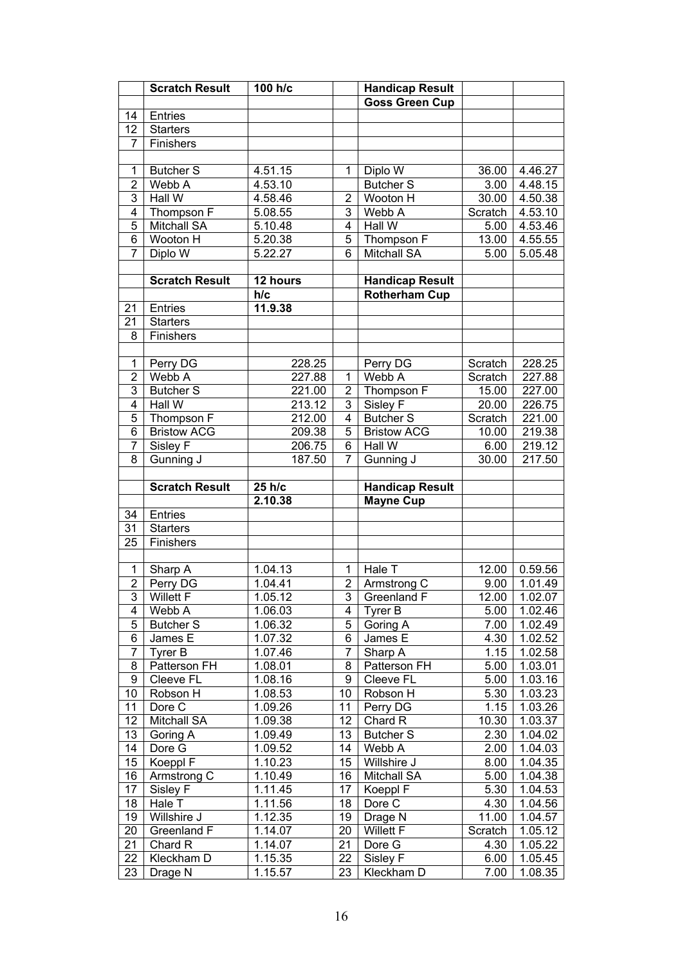|                 | <b>Scratch Result</b>             | 100 h/c                         |                | <b>Handicap Result</b> |                   |                          |
|-----------------|-----------------------------------|---------------------------------|----------------|------------------------|-------------------|--------------------------|
|                 |                                   |                                 |                | <b>Goss Green Cup</b>  |                   |                          |
| 14              | Entries                           |                                 |                |                        |                   |                          |
| $\overline{12}$ | <b>Starters</b>                   |                                 |                |                        |                   |                          |
| $\overline{7}$  | Finishers                         |                                 |                |                        |                   |                          |
|                 |                                   |                                 |                |                        |                   |                          |
| $\mathbf{1}$    | <b>Butcher S</b>                  | 4.51.15                         | $\mathbf{1}$   | Diplo W                | 36.00             | 4.46.27                  |
| $\overline{2}$  | Webb A                            | 4.53.10                         |                | <b>Butcher S</b>       | 3.00              | 4.48.15                  |
| 3               | Hall W                            | 4.58.46                         | $\overline{2}$ | Wooton H               | 30.00             | 4.50.38                  |
| 4               | Thompson F                        | $5.\overline{08.55}$            | 3              | Webb A                 | Scratch           | $4.\overline{53.10}$     |
| $\overline{5}$  | <b>Mitchall SA</b>                | 5.10.48                         | $\overline{4}$ | Hall W                 | 5.00              | 4.53.46                  |
| $\overline{6}$  | Wooton H                          | 5.20.38                         | 5              | Thompson F             | 13.00             | 4.55.55                  |
| $\overline{7}$  | Diplo W                           | 5.22.27                         | 6              | <b>Mitchall SA</b>     | 5.00              | 5.05.48                  |
|                 |                                   |                                 |                |                        |                   |                          |
|                 | <b>Scratch Result</b>             | 12 hours                        |                | <b>Handicap Result</b> |                   |                          |
|                 |                                   | h/c                             |                | <b>Rotherham Cup</b>   |                   |                          |
| 21              | Entries                           | 11.9.38                         |                |                        |                   |                          |
| 21              | <b>Starters</b>                   |                                 |                |                        |                   |                          |
| 8               | Finishers                         |                                 |                |                        |                   |                          |
|                 |                                   |                                 |                |                        |                   |                          |
| $\mathbf{1}$    |                                   | 228.25                          |                |                        |                   | 228.25                   |
| $\overline{2}$  | Perry DG<br>Webb A                | 227.88                          | $\overline{1}$ | Perry DG<br>Webb A     | Scratch           | 227.88                   |
| 3               |                                   |                                 |                |                        | Scratch<br>15.00  |                          |
|                 | <b>Butcher S</b><br><b>Hall W</b> | 221.00                          | $\overline{2}$ | Thompson F             |                   | 227.00                   |
| $\overline{4}$  |                                   | 213.12                          | $\overline{3}$ | Sisley F               | 20.00             | 226.75                   |
| $\overline{5}$  | Thompson F                        | 212.00                          | $\overline{4}$ | <b>Butcher S</b>       | Scratch           | 221.00                   |
| $\overline{6}$  | <b>Bristow ACG</b>                | 209.38                          | $\overline{5}$ | <b>Bristow ACG</b>     | 10.00             | 219.38                   |
| $\overline{7}$  | Sisley F                          | 206.75                          | $\overline{6}$ | Hall W                 | 6.00              | 219.12                   |
| $\overline{8}$  | Gunning J                         | 187.50                          | $\overline{7}$ | Gunning J              | 30.00             | 217.50                   |
|                 |                                   |                                 |                |                        |                   |                          |
|                 | <b>Scratch Result</b>             | 25 h/c                          |                | <b>Handicap Result</b> |                   |                          |
|                 |                                   |                                 |                |                        |                   |                          |
|                 |                                   | 2.10.38                         |                | <b>Mayne Cup</b>       |                   |                          |
| 34              | Entries                           |                                 |                |                        |                   |                          |
| 31              | <b>Starters</b>                   |                                 |                |                        |                   |                          |
| 25              | Finishers                         |                                 |                |                        |                   |                          |
|                 |                                   |                                 |                |                        |                   |                          |
| $\mathbf{1}$    | Sharp $\overline{A}$              | 1.04.13                         | $\mathbf{1}$   | Hale T                 | 12.00             | 0.59.56                  |
| $\overline{2}$  | Perry DG                          | 1.04.41                         | $\overline{2}$ | Armstrong C            | 9.00              | 1.01.49                  |
|                 | 3 Willett F                       | 1.05.12                         |                | 3 Greenland F          |                   |                          |
| 4               | Webb A                            | 1.06.03                         | 4              | Tyrer B                | 5.00              | 1.02.46                  |
| 5               | Butcher <sub>S</sub>              | 1.06.32                         | 5              | Goring A               | 7.00              | 1.02.49                  |
| 6               | James E                           | 1.07.32                         | $\overline{6}$ | James $E$              | 4.30              | $1.\overline{02.52}$     |
| $\overline{7}$  | Tyrer B                           | 1.07.46                         | $\overline{7}$ | Sharp A                | 1.15              | 1.02.58                  |
| 8               | Patterson FH                      | 1.08.01                         | 8              | Patterson FH           | 5.00              | 12.00 1.02.07<br>1.03.01 |
| 9               | Cleeve FL                         | 1.08.16                         | 9              | Cleeve FL              | 5.00              | 1.03.16                  |
| 10              | Robson H                          | 1.08.53                         | 10             | Robson H               | 5.30              | 1.03.23                  |
| 11              | Dore C                            | 1.09.26                         | 11             | Perry DG               | 1.15              | 1.03.26                  |
| 12              | Mitchall SA                       | 1.09.38                         | 12             | Chard R                | 10.30             | 1.03.37                  |
| 13              | Goring A                          | 1.09.49                         | 13             | <b>Butcher S</b>       | 2.30              | 1.04.02                  |
| 14              | Dore G                            | 1.09.52                         | 14             | Webb A                 | $\overline{2.00}$ | $1.\overline{04.03}$     |
| 15              | Koeppl F                          | 1.10.23                         | 15             | Willshire J            | 8.00              | $1.\overline{04.35}$     |
| 16              | Armstrong C                       | 1.10.49                         | 16             | <b>Mitchall SA</b>     | 5.00              | $1.\overline{04.38}$     |
| $\overline{17}$ | Sisley F                          | $1.\overline{11.45}$            | 17             | Koeppl F               | $\overline{5.30}$ | 1.04.53                  |
| 18              | Hale T                            | $1.\overline{11.56}$            | 18             | Dore $\overline{C}$    | 4.30              | 1.04.56                  |
| 19              | Willshire J                       | 1.12.35                         | 19             | Drage N                | 11.00             | 1.04.57                  |
| 20              | Greenland F                       | 1.14.07                         | 20             | Willett F              | Scratch           | 1.05.12                  |
| 21              | Chard R                           | 1.14.07                         | 21             | Dore G                 | 4.30              | 1.05.22                  |
| 22              | Kleckham D                        |                                 | 22             | Sisley F               | 6.00              | 1.05.45                  |
| $\overline{23}$ | Drage N                           | $1.\overline{15.35}$<br>1.15.57 | 23             | Kleckham D             | 7.00              | 1.08.35                  |